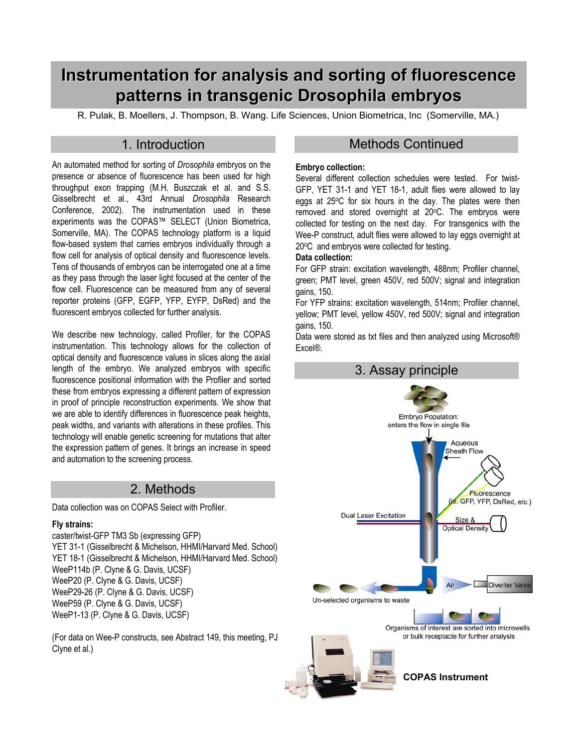# **Instrumentation for analysis and sorting of fluorescence patterns in transgenic Drosophila embryos**

R. Pulak, B. Moellers, J. Thompson, B. Wang. Life Sciences, Union Biometrica, Inc (Somerville, MA.)

An automated method for sorting of *Drosophila* embryos on the presence or absence of fluorescence has been used for high throughput exon trapping (M.H. Buszczak et al. and S.S. Gisselbrecht et al., 43rd Annual *Drosophila* Research Conference, 2002). The instrumentation used in these experiments was the COPAS™ SELECT (Union Biometrica, Somerville, MA). The COPAS technology platform is a liquid flow-based system that carries embryos individually through a flow cell for analysis of optical density and fluorescence levels. Tens of thousands of embryos can be interrogated one at a time as they pass through the laser light focused at the center of the flow cell. Fluorescence can be measured from any of several reporter proteins (GFP, EGFP, YFP, EYFP, DsRed) and the fluorescent embryos collected for further analysis.

We describe new technology, called Profiler, for the COPAS instrumentation. This technology allows for the collection of optical density and fluorescence values in slices along the axial length of the embryo. We analyzed embryos with specific fluorescence positional information with the Profiler and sorted these from embryos expressing a different pattern of expression in proof of principle reconstruction experiments. We show that we are able to identify differences in fluorescence peak heights, peak widths, and variants with alterations in these profiles. This technology will enable genetic screening for mutations that alter the expression pattern of genes. It brings an increase in speed and automation to the screening process.

# 2. Methods

Data collection was on COPAS Select with Profiler.

### **Fly strains:**

caster/twist-GFP TM3 Sb (expressing GFP) YET 31-1 (Gisselbrecht & Michelson, HHMI/Harvard Med. School) YET 18-1 (Gisselbrecht & Michelson, HHMI/Harvard Med. School) WeeP114b (P. Clyne & G. Davis, UCSF) WeeP20 (P. Clyne & G. Davis, UCSF) WeeP29-26 (P. Clyne & G. Davis, UCSF) WeeP59 (P. Clyne & G. Davis, UCSF) WeeP1-13 (P. Clyne & G. Davis, UCSF)

(For data on Wee-P constructs, see Abstract 149, this meeting, PJ Clyne et al.)

## 1. Introduction **Methods Continued**

#### **Embryo collection:**

Several different collection schedules were tested. For twist-GFP, YET 31-1 and YET 18-1, adult flies were allowed to lay eggs at 25°C for six hours in the day. The plates were then removed and stored overnight at 20°C. The embryos were collected for testing on the next day. For transgenics with the Wee-P construct, adult flies were allowed to lay eggs overnight at 20°C and embryos were collected for testing.

### **Data collection:**

For GFP strain: excitation wavelength, 488nm; Profiler channel, green; PMT level, green 450V, red 500V; signal and integration gains, 150.

For YFP strains: excitation wavelength, 514nm; Profiler channel, yellow; PMT level, yellow 450V, red 500V; signal and integration gains, 150.

Data were stored as txt files and then analyzed using Microsoft® Excel®.